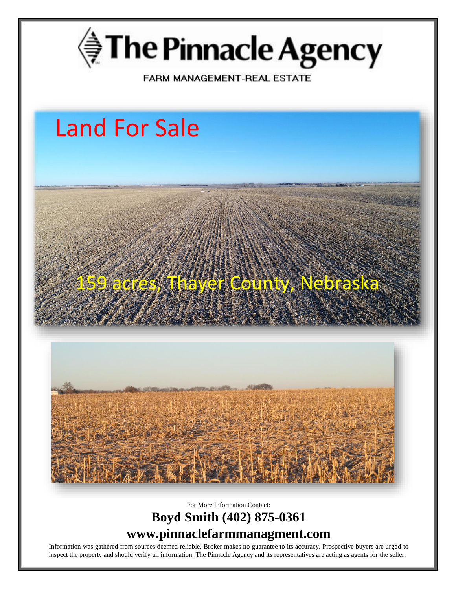

FARM MANAGEMENT-REAL ESTATE

## Land For Sale

## 45, Thayer County, Neb



For More Information Contact:

## **Boyd Smith (402) 875-0361 www.pinnaclefarmmanagment.com**

Information was gathered from sources deemed reliable. Broker makes no guarantee to its accuracy. Prospective buyers are urged to inspect the property and should verify all information. The Pinnacle Agency and its representatives are acting as agents for the seller.